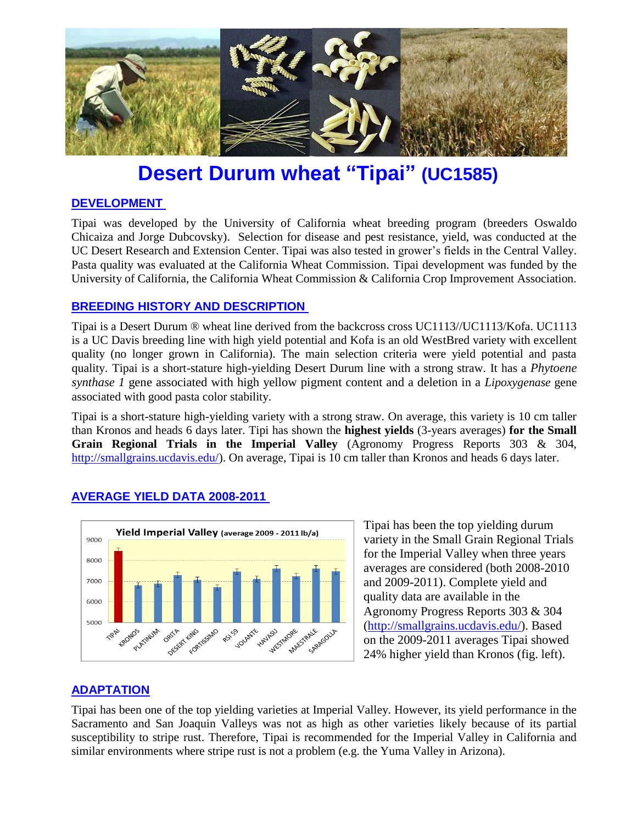

# **Desert Durum wheat "Tipai" (UC1585)**

## **DEVELOPMENT**

Tipai was developed by the University of California wheat breeding program (breeders Oswaldo Chicaiza and Jorge Dubcovsky). Selection for disease and pest resistance, yield, was conducted at the UC Desert Research and Extension Center. Tipai was also tested in grower's fields in the Central Valley. Pasta quality was evaluated at the California Wheat Commission. Tipai development was funded by the University of California, the California Wheat Commission & California Crop Improvement Association.

## **BREEDING HISTORY AND DESCRIPTION**

Tipai is a Desert Durum ® wheat line derived from the backcross cross UC1113//UC1113/Kofa. UC1113 is a UC Davis breeding line with high yield potential and Kofa is an old WestBred variety with excellent quality (no longer grown in California). The main selection criteria were yield potential and pasta quality. Tipai is a short-stature high-yielding Desert Durum line with a strong straw. It has a *Phytoene synthase 1* gene associated with high yellow pigment content and a deletion in a *Lipoxygenase* gene associated with good pasta color stability.

Tipai is a short-stature high-yielding variety with a strong straw. On average, this variety is 10 cm taller than Kronos and heads 6 days later. Tipi has shown the **highest yields** (3-years averages) **for the Small Grain Regional Trials in the Imperial Valley** (Agronomy Progress Reports 303 & 304, [http://smallgrains.ucdavis.edu/\)](http://smallgrains.ucdavis.edu/). On average, Tipai is 10 cm taller than Kronos and heads 6 days later.

# **AVERAGE YIELD DATA 2008-2011**



Tipai has been the top yielding durum variety in the Small Grain Regional Trials for the Imperial Valley when three years averages are considered (both 2008-2010 and 2009-2011). Complete yield and quality data are available in the Agronomy Progress Reports 303 & 304 [\(http://smallgrains.ucdavis.edu/\)](http://smallgrains.ucdavis.edu/). Based on the 2009-2011 averages Tipai showed 24% higher yield than Kronos (fig. left).

# **ADAPTATION**

Tipai has been one of the top yielding varieties at Imperial Valley. However, its yield performance in the Sacramento and San Joaquin Valleys was not as high as other varieties likely because of its partial susceptibility to stripe rust. Therefore, Tipai is recommended for the Imperial Valley in California and similar environments where stripe rust is not a problem (e.g. the Yuma Valley in Arizona).